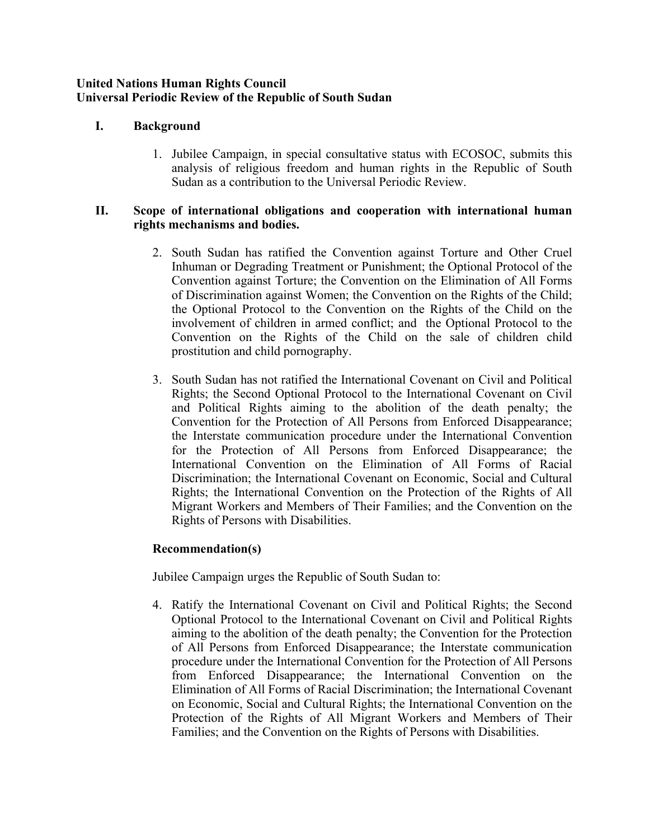### **United Nations Human Rights Council Universal Periodic Review of the Republic of South Sudan**

# **I. Background**

1. Jubilee Campaign, in special consultative status with ECOSOC, submits this analysis of religious freedom and human rights in the Republic of South Sudan as <sup>a</sup> contribution to the Universal Periodic Review.

### **II. Scope of international obligations and cooperation with international human rights mechanisms and bodies.**

- 2. South Sudan has ratified the Convention against Torture and Other Cruel Inhuman or Degrading Treatment or Punishment; the Optional Protocol of the Convention against Torture; the Convention on the Elimination of All Forms of Discrimination against Women; the Convention on the Rights of the Child; the Optional Protocol to the Convention on the Rights of the Child on the involvement of children in armed conflict; and the Optional Protocol to the Convention on the Rights of the Child on the sale of children child prostitution and child pornography.
- 3. South Sudan has not ratified the International Covenant on Civil and Political Rights; the Second Optional Protocol to the International Covenant on Civil and Political Rights aiming to the abolition of the death penalty; the Convention for the Protection of All Persons from Enforced Disappearance; the Interstate communication procedure under the International Convention for the Protection of All Persons from Enforced Disappearance; the International Convention on the Elimination of All Forms of Racial Discrimination; the International Covenant on Economic, Social and Cultural Rights; the International Convention on the Protection of the Rights of All Migrant Workers and Members of Their Families; and the Convention on the Rights of Persons with Disabilities.

# **Recommendation(s)**

Jubilee Campaign urges the Republic of South Sudan to:

4. Ratify the International Covenant on Civil and Political Rights; the Second Optional Protocol to the International Covenant on Civil and Political Rights aiming to the abolition of the death penalty; the Convention for the Protection of All Persons from Enforced Disappearance; the Interstate communication procedure under the International Convention for the Protection of All Persons from Enforced Disappearance; the International Convention on the Elimination of All Forms of Racial Discrimination; the International Covenant on Economic, Social and Cultural Rights; the International Convention on the Protection of the Rights of All Migrant Workers and Members of Their Families; and the Convention on the Rights of Persons with Disabilities.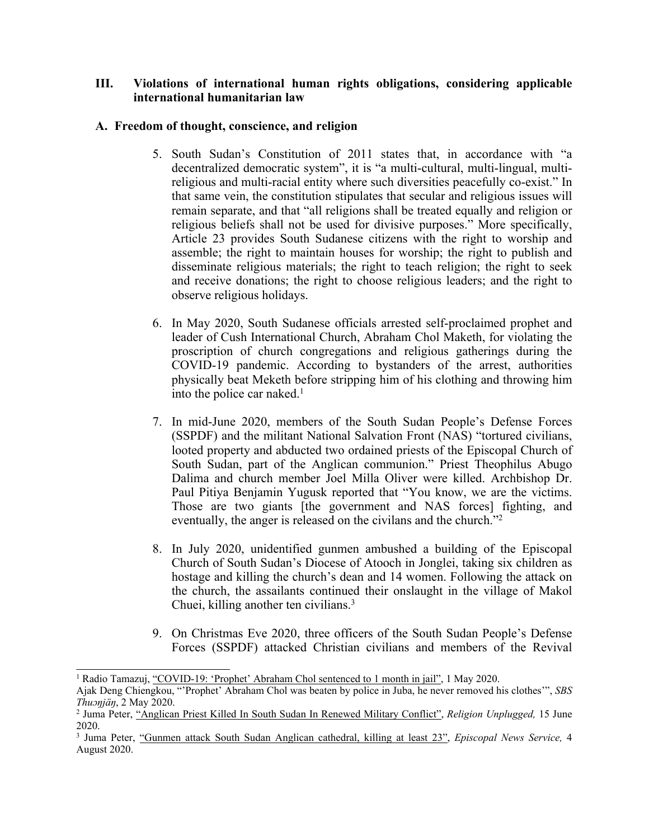## **III. Violations of international human rights obligations, considering applicable international humanitarian law**

## **A. Freedom of thought, conscience, and religion**

- 5. South Sudan'<sup>s</sup> Constitution of 2011 states that, in accordance with "<sup>a</sup> decentralized democratic system", it is "<sup>a</sup> multi-cultural, multi-lingual, multireligious and multi-racial entity where such diversities peacefully co-exist." In that same vein, the constitution stipulates that secular and religious issues will remain separate, and that "all religions shall be treated equally and religion or religious beliefs shall not be used for divisive purposes." More specifically, Article 23 provides South Sudanese citizens with the right to worship and assemble; the right to maintain houses for worship; the right to publish and disseminate religious materials; the right to teach religion; the right to seek and receive donations; the right to choose religious leaders; and the right to observe religious holidays.
- 6. In May 2020, South Sudanese officials arrested self-proclaimed prophet and leader of Cush International Church, Abraham Chol Maketh, for violating the proscription of church congregations and religious gatherings during the COVID-19 pandemic. According to bystanders of the arrest, authorities physically beat Meketh before stripping him of his clothing and throwing him into the police car naked. 1
- 7. In mid-June 2020, members of the South Sudan People'<sup>s</sup> Defense Forces (SSPDF) and the militant National Salvation Front (NAS) "tortured civilians, looted property and abducted two ordained priests of the Episcopal Church of South Sudan, par<sup>t</sup> of the Anglican communion." Priest Theophilus Abugo Dalima and church member Joel Milla Oliver were killed. Archbishop Dr. Paul Pitiya Benjamin Yugusk reported that "You know, we are the victims. Those are two giants [the governmen<sup>t</sup> and NAS forces] fighting, and eventually, the anger is released on the civilans and the church.<sup>"2</sup>
- 8. In July 2020, unidentified gunmen ambushed <sup>a</sup> building of the Episcopal Church of South Sudan'<sup>s</sup> Diocese of Atooch in Jonglei, taking six children as hostage and killing the church'<sup>s</sup> dean and 14 women. Following the attack on the church, the assailants continued their onslaught in the village of Makol Chuei, killing another ten civilians. 3
- 9. On Christmas Eve 2020, three officers of the South Sudan People'<sup>s</sup> Defense Forces (SSPDF) attacked Christian civilians and members of the Revival

<sup>1</sup> Radio Tamazuj, "[COVID-19:](https://radiotamazuj.org/en/news/article/covid-19-prophet-abraham-chol-sentenced-to-1-month-in-jail) 'Prophet' Abraham Chol sentenced to <sup>1</sup> month in jail", <sup>1</sup> May 2020.

Ajak Deng Chiengkou, "'Prophet' Abraham Chol was beaten by police in Juba, he never removed his clothes'", *SBS Thuɔŋjäŋ*, 2 May 2020.

<sup>2</sup> Juma Peter, "[Anglican](https://religionunplugged.com/news/2020/6/12/anglican-pastor-killed-in-south-sudan-amid-renewed-military-conflict) Priest Killed In South Sudan In Renewed Military Conflict", *Religion Unplugged,* 15 June 2020.

<sup>3</sup> Juma Peter, "Gunmen attack South Sudan [Anglican](https://www.episcopalnewsservice.org/2020/08/04/gunmen-attack-south-sudan-anglican-cathedral-killing-at-least-23/) cathedral, killing at least 23", *Episcopal News Service,* 4 August 2020.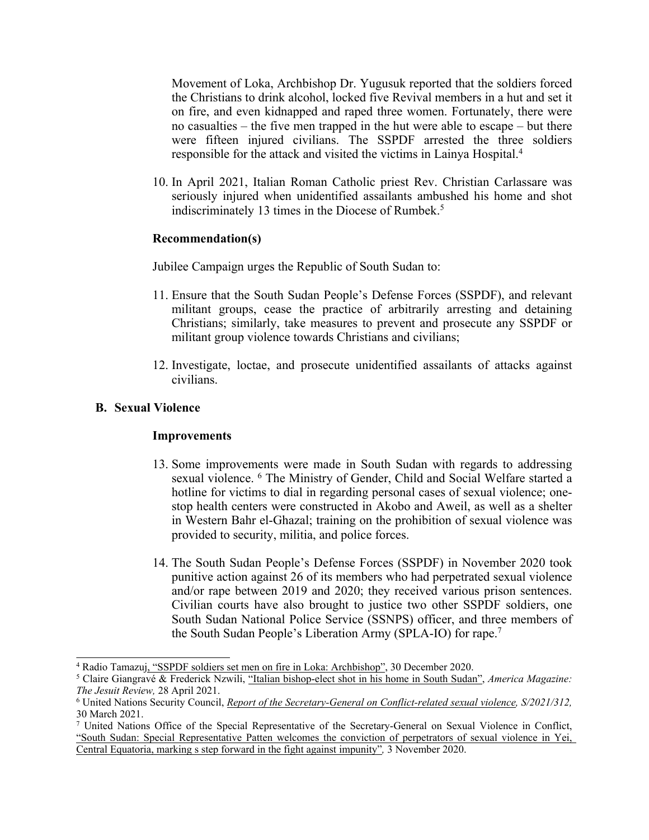Movement of Loka, Archbishop Dr. Yugusuk reported that the soldiers forced the Christians to drink alcohol, locked five Revival members in <sup>a</sup> hut and set it on fire, and even kidnapped and raped three women. Fortunately, there were no casualties – the five men trapped in the hut were able to escape – but there were fifteen injured civilians. The SSPDF arrested the three soldiers responsible for the attack and visited the victims in Lainya Hospital. 4

10. In April 2021, Italian Roman Catholic priest Rev. Christian Carlassare was seriously injured when unidentified assailants ambushed his home and shot indiscriminately 13 times in the Diocese of Rumbek. 5

### **Recommendation(s)**

Jubilee Campaign urges the Republic of South Sudan to:

- 11. Ensure that the South Sudan People'<sup>s</sup> Defense Forces (SSPDF), and relevant militant groups, cease the practice of arbitrarily arresting and detaining Christians; similarly, take measures to preven<sup>t</sup> and prosecute any SSPDF or militant group violence towards Christians and civilians;
- 12. Investigate, loctae, and prosecute unidentified assailants of attacks against civilians.

## **B. Sexual Violence**

### **Improvements**

- 13. Some improvements were made in South Sudan with regards to addressing sexual violence. 6 The Ministry of Gender, Child and Social Welfare started <sup>a</sup> hotline for victims to dial in regarding personal cases of sexual violence; onestop health centers were constructed in Akobo and Aweil, as well as <sup>a</sup> shelter in Western Bahr el-Ghazal; training on the prohibition of sexual violence was provided to security, militia, and police forces.
- 14. The South Sudan People'<sup>s</sup> Defense Forces (SSPDF) in November 2020 took punitive action against 26 of its members who had perpetrated sexual violence and/or rape between 2019 and 2020; they received various prison sentences. Civilian courts have also brought to justice two other SSPDF soldiers, one South Sudan National Police Service (SSNPS) officer, and three members of the South Sudan People's Liberation Army (SPLA-IO) for rape.<sup>7</sup>

<sup>4</sup> Radio Tamazuj, "SSPDF soldiers set men on fire in Loka: [Archbishop](https://radiotamazuj.org/en/news/article/sspdf-soldiers-set-five-church-members-on-fire-in-loka-archbishop)", 30 December 2020.

<sup>5</sup> Claire Giangravé & Frederick Nzwili, "Italian [bishop-elect](https://www.americamagazine.org/faith/2021/04/28/attackers-shoot-italian-bishop-elect-south-sudan-240548) shot in his home in South Sudan", *America Magazine: The Jesuit Review,* 28 April 2021.

<sup>6</sup> United Nations Security Council, *Report of the [Secretary-General](https://www.securitycouncilreport.org/atf/cf/%7B65BFCF9B-6D27-4E9C-8CD3-CF6E4FF96FF9%7D/s_2021_312.pdf) on Conflict-related sexual violence, S/2021/312,* 30 March 2021.

<sup>7</sup> United Nations Office of the Special Representative of the Secretary-General on Sexual Violence in Conflict, "South Sudan: Special [Representative](https://www.un.org/sexualviolenceinconflict/press-release/south-sudan-special-representative-patten-welcomes-the-conviction-of-perpetrators-of-sexual-violence-in-yei-central-equatoria-marking-a-step-forward-in-the-fight-against-impunity/) Patten welcomes the conviction of perpetrators of sexual violence in Yei, Central [Equatoria,](https://www.un.org/sexualviolenceinconflict/press-release/south-sudan-special-representative-patten-welcomes-the-conviction-of-perpetrators-of-sexual-violence-in-yei-central-equatoria-marking-a-step-forward-in-the-fight-against-impunity/) marking <sup>s</sup> step forward in the fight against impunity"*,* 3 November 2020.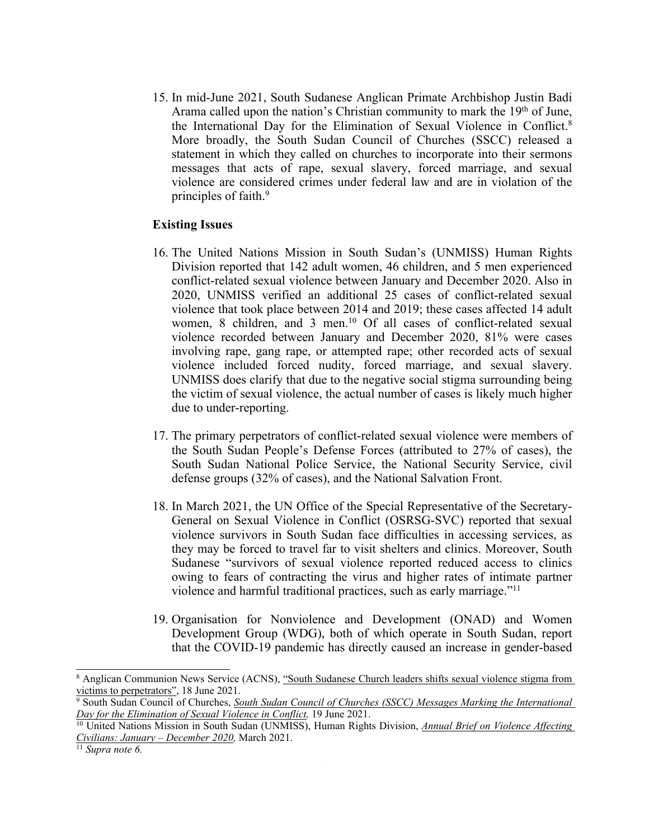15. In mid-June 2021, South Sudanese Anglican Primate Archbishop Justin Badi Arama called upon the nation's Christian community to mark the 19<sup>th</sup> of June, the International Day for the Elimination of Sexual Violence in Conflict. 8 More broadly, the South Sudan Council of Churches (SSCC) released <sup>a</sup> statement in which they called on churches to incorporate into their sermons messages that acts of rape, sexual slavery, forced marriage, and sexual violence are considered crimes under federal law and are in violation of the principles of faith. 9

#### **Existing Issues**

- 16. The United Nations Mission in South Sudan'<sup>s</sup> (UNMISS) Human Rights Division reported that 142 adult women, 46 children, and 5 men experienced conflict-related sexual violence between January and December 2020. Also in 2020, UNMISS verified an additional 25 cases of conflict-related sexual violence that took place between 2014 and 2019; these cases affected 14 adult women, 8 children, and 3 men. <sup>10</sup> Of all cases of conflict-related sexual violence recorded between January and December 2020, 81% were cases involving rape, gang rape, or attempted rape; other recorded acts of sexual violence included forced nudity, forced marriage, and sexual slavery. UNMISS does clarify that due to the negative social stigma surrounding being the victim of sexual violence, the actual number of cases is likely much higher due to under-reporting.
- 17. The primary perpetrators of conflict-related sexual violence were members of the South Sudan People'<sup>s</sup> Defense Forces (attributed to 27% of cases), the South Sudan National Police Service, the National Security Service, civil defense groups (32% of cases), and the National Salvation Front.
- 18. In March 2021, the UN Office of the Special Representative of the Secretary-General on Sexual Violence in Conflict (OSRSG-SVC) reported that sexual violence survivors in South Sudan face difficulties in accessing services, as they may be forced to travel far to visit shelters and clinics. Moreover, South Sudanese "survivors of sexual violence reported reduced access to clinics owing to fears of contracting the virus and higher rates of intimate partner violence and harmful traditional practices, such as early marriage."<sup>11</sup>
- 19. Organisation for Nonviolence and Development (ONAD) and Women Development Group (WDG), both of which operate in South Sudan, repor<sup>t</sup> that the COVID-19 pandemic has directly caused an increase in gender-based

<sup>8</sup> Anglican Communion News Service (ACNS), "South [Sudanese](https://www.anglicannews.org/news/2021/06/south-sudanese-church-leaders-shifts-sexual-violence-stigma-from-victims-to-perpetrators.aspx) Church leaders shifts sexual violence stigma from [victims](https://www.anglicannews.org/news/2021/06/south-sudanese-church-leaders-shifts-sexual-violence-stigma-from-victims-to-perpetrators.aspx) to perpetrators", 18 June 2021.

<sup>9</sup> South Sudan Council of Churches, *South Sudan Council of Churches (SSCC) Messages Marking the [International](https://www.globalministries.org/wp-content/uploads/2021/06/SSCC-MESSAGES-MARKING-THE-INTERNATIONAL-DAY-FOR-THE-ELIMINATION-OF-SEXUAL-VIOLENCE-IN-CONFLICT.pdf) Day for the [Elimination](https://www.globalministries.org/wp-content/uploads/2021/06/SSCC-MESSAGES-MARKING-THE-INTERNATIONAL-DAY-FOR-THE-ELIMINATION-OF-SEXUAL-VIOLENCE-IN-CONFLICT.pdf) of Sexual Violence in Conflict,* 19 June 2021.

<sup>10</sup> United Nations Mission in South Sudan (UNMISS), Human Rights Division, *Annual Brief on Violence [Affecting](https://unmiss.unmissions.org/sites/default/files/unmiss_annual_brief_violence_against_civilians_2020_final_for_publication.pdf) Civilians: January – [December](https://unmiss.unmissions.org/sites/default/files/unmiss_annual_brief_violence_against_civilians_2020_final_for_publication.pdf) 2020,* March 2021.

<sup>11</sup> *Supra note 6.*